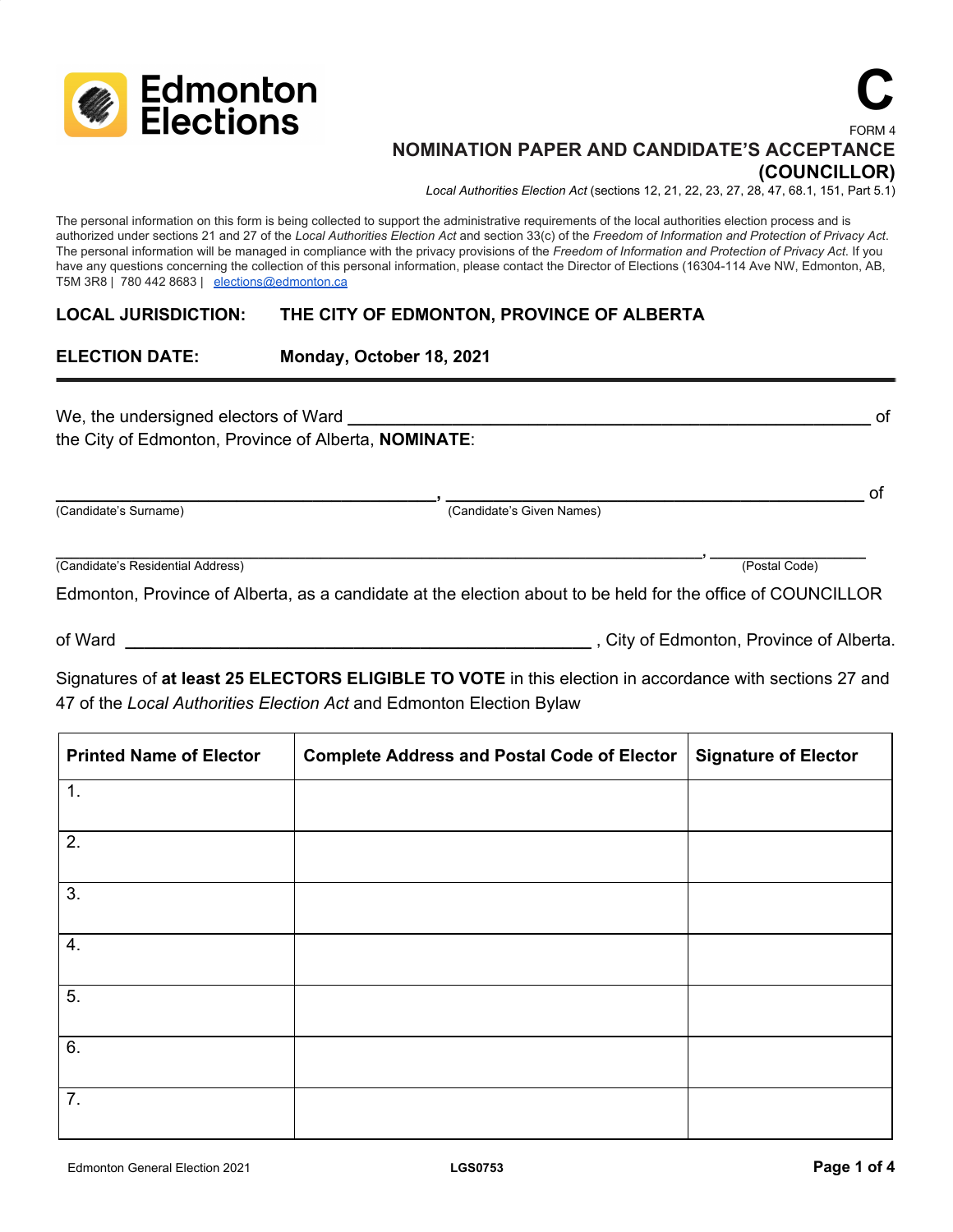

#### FORM 4 **NOMINATION PAPER AND CANDIDATE'S ACCEPTANCE (COUNCILLOR)**

*Local Authorities Election Act* (sections 12, 21, 22, 23, 27, 28, 47, 68.1, 151, Part 5.1)

The personal information on this form is being collected to support the administrative requirements of the local authorities election process and is authorized under sections 21 and 27 of the Local Authorities Election Act and section 33(c) of the Freedom of Information and Protection of Privacy Act. The personal information will be managed in compliance with the privacy provisions of the *Freedom of Information and Protection of Privacy Act*. If you have any questions concerning the collection of this personal information, please contact the Director of Elections (16304-114 Ave NW, Edmonton, AB, T5M 3R8 | 780 442 8683 | [elections@edmonton.ca](mailto:elections@edmonton.ca)

#### **LOCAL JURISDICTION: THE CITY OF EDMONTON, PROVINCE OF ALBERTA**

### **ELECTION DATE: Monday, October 18, 2021**

We, the undersigned electors of Ward **Land Construction** and the undersigned electors of Ward **Land Construction** the City of Edmonton, Province of Alberta, **NOMINATE**:

**\_\_\_\_\_\_\_\_\_\_\_\_\_\_\_\_\_\_\_\_\_\_\_\_\_\_\_\_\_\_\_\_\_\_\_\_\_\_\_\_, \_\_\_\_\_\_\_\_\_\_\_\_\_\_\_\_\_\_\_\_\_\_\_\_\_\_\_\_\_\_\_\_\_\_\_\_\_\_\_\_\_\_\_\_** of (Candidate's Surname) (Candidate's Given Names)

**\_\_\_\_\_\_\_\_\_\_\_\_\_\_\_\_\_\_\_\_\_\_\_\_\_\_\_\_\_\_\_\_\_\_\_\_\_\_\_\_\_\_\_\_\_\_\_\_\_\_\_\_\_\_\_\_\_\_\_\_\_\_\_\_\_\_\_\_\_\_\_\_\_\_\_\_\_\_\_\_\_\_\_, \_\_\_\_\_\_\_\_\_\_\_\_\_\_\_\_\_\_\_\_** (Candidate's Residential Address) (Postal Code)

Edmonton, Province of Alberta, as a candidate at the election about to be held for the office of COUNCILLOR

of Ward **\_\_\_\_\_\_\_\_\_\_\_\_\_\_\_\_\_\_\_\_\_\_\_\_\_\_\_\_\_\_\_\_\_\_\_\_\_\_\_\_\_\_\_\_\_\_\_\_\_** , City of Edmonton, Province of Alberta.

**C**

Signatures of **at least 25 ELECTORS ELIGIBLE TO VOTE** in this election in accordance with sections 27 and 47 of the *Local Authorities Election Act* and Edmonton Election Bylaw

| <b>Printed Name of Elector</b> | <b>Complete Address and Postal Code of Elector</b> | Signature of Elector |
|--------------------------------|----------------------------------------------------|----------------------|
| 1.                             |                                                    |                      |
| 2.                             |                                                    |                      |
| 3.                             |                                                    |                      |
| 4.                             |                                                    |                      |
| 5.                             |                                                    |                      |
| 6.                             |                                                    |                      |
| 7.                             |                                                    |                      |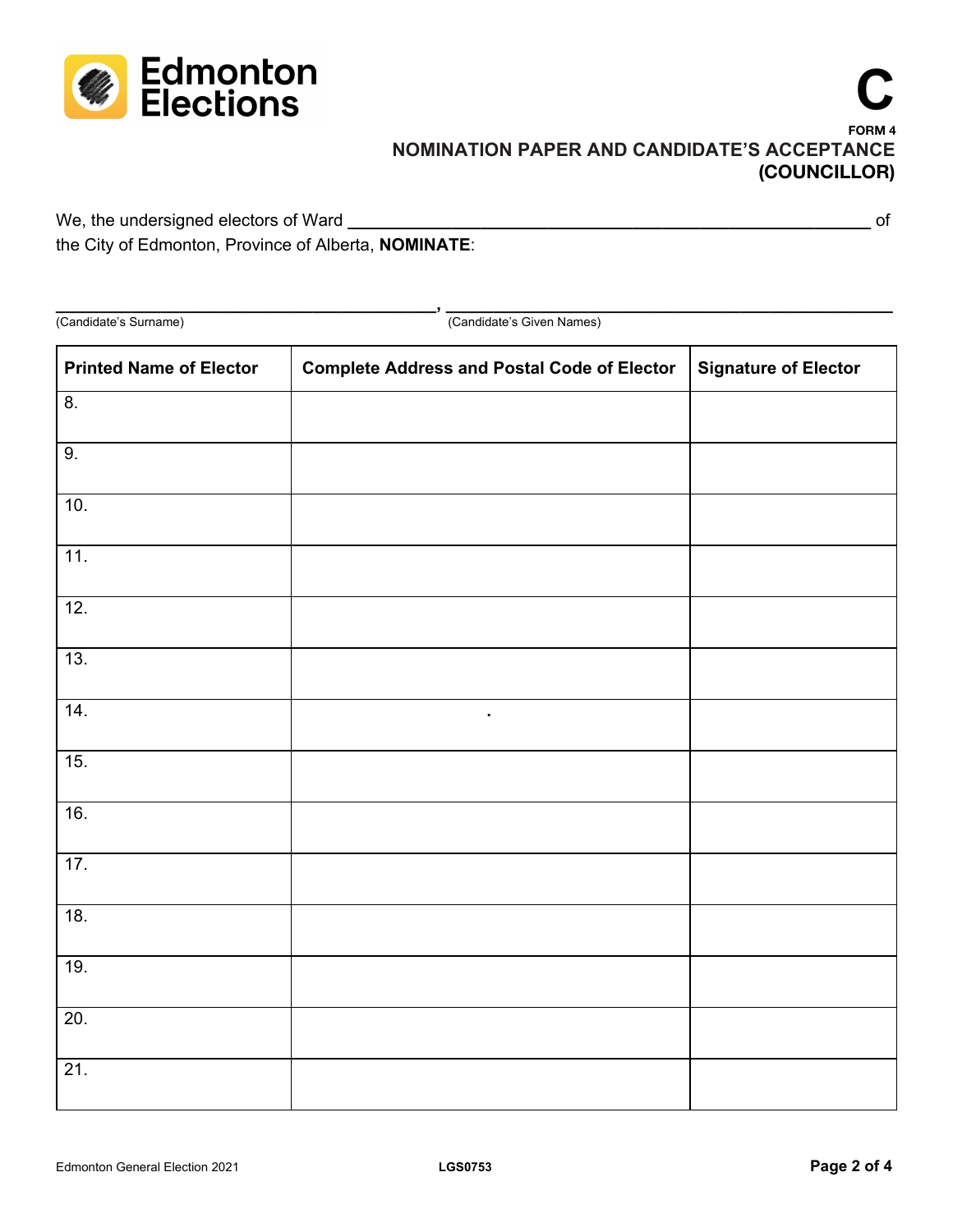

# **C FORM 4 NOMINATION PAPER AND CANDIDATE'S ACCEPTANCE (COUNCILLOR)**

We, the undersigned electors of Ward **\_\_\_\_\_\_\_\_\_\_\_\_\_\_\_\_\_\_\_\_\_\_\_\_\_\_\_\_\_\_\_\_\_\_\_\_\_\_\_\_\_\_\_\_\_\_\_\_\_\_\_\_\_\_\_** of the City of Edmonton, Province of Alberta, **NOMINATE**:

**\_\_\_\_\_\_\_\_\_\_\_\_\_\_\_\_\_\_\_\_\_\_\_\_\_\_\_\_\_\_\_\_\_\_\_\_\_\_\_\_, \_\_\_\_\_\_\_\_\_\_\_\_\_\_\_\_\_\_\_\_\_\_\_\_\_\_\_\_\_\_\_\_\_\_\_\_\_\_\_\_\_\_\_\_\_\_\_** (Candidate's Surname) (Candidate's Given Names) **Printed Name of Elector Complete Address and Postal Code of Elector Signature of Elector** 8. 9. 10. 11. 12. 13. 14. **.** 15. 16. 17. 18. 19. 20. 21.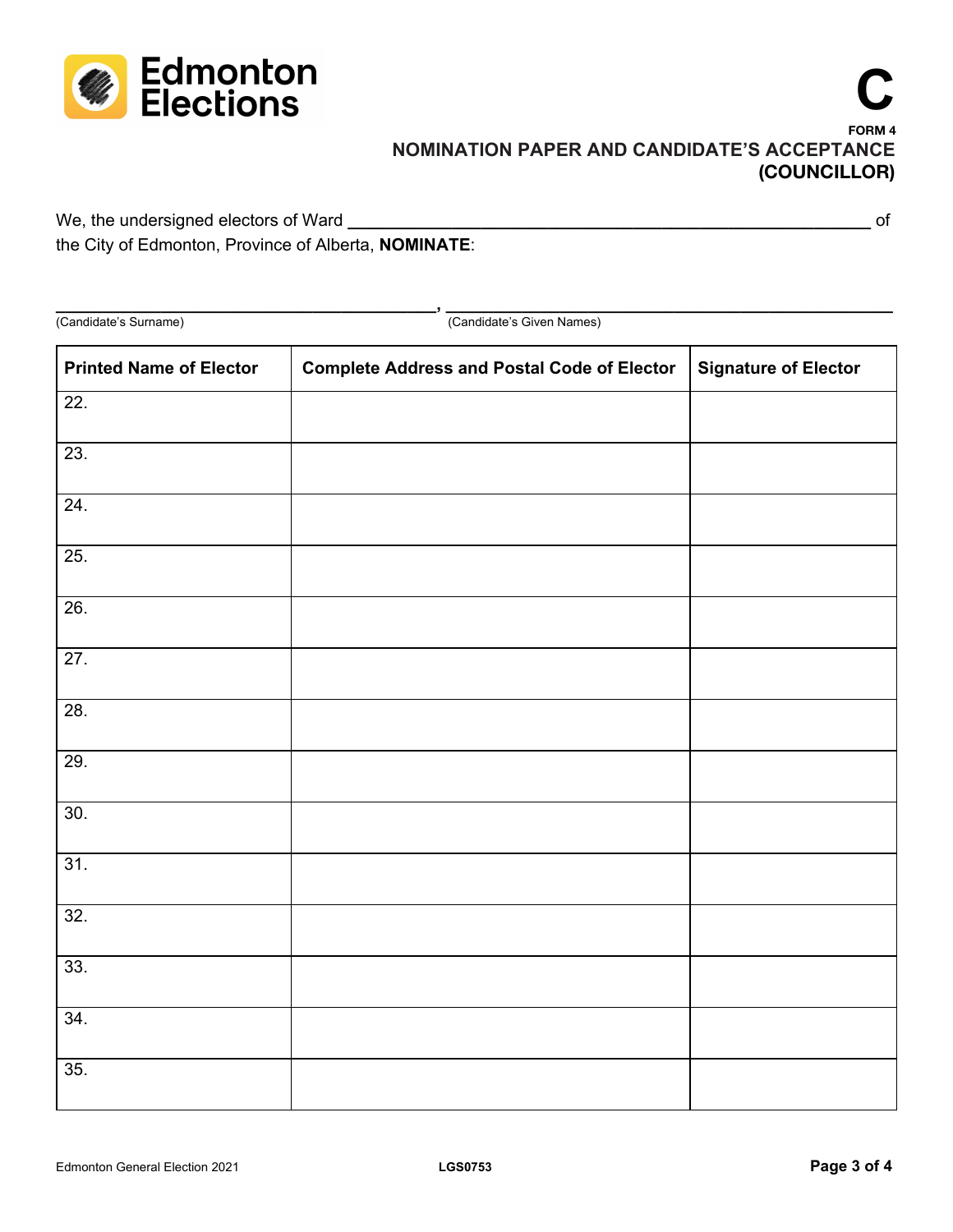

# **C FORM 4 NOMINATION PAPER AND CANDIDATE'S ACCEPTANCE (COUNCILLOR)**

We, the undersigned electors of Ward **\_\_\_\_\_\_\_\_\_\_\_\_\_\_\_\_\_\_\_\_\_\_\_\_\_\_\_\_\_\_\_\_\_\_\_\_\_\_\_\_\_\_\_\_\_\_\_\_\_\_\_\_\_\_\_** of the City of Edmonton, Province of Alberta, **NOMINATE**:

**\_\_\_\_\_\_\_\_\_\_\_\_\_\_\_\_\_\_\_\_\_\_\_\_\_\_\_\_\_\_\_\_\_\_\_\_\_\_\_\_, \_\_\_\_\_\_\_\_\_\_\_\_\_\_\_\_\_\_\_\_\_\_\_\_\_\_\_\_\_\_\_\_\_\_\_\_\_\_\_\_\_\_\_\_\_\_\_** (Candidate's Surname) (Candidate's Given Names) **Printed Name of Elector Complete Address and Postal Code of Elector Signature of Elector** 22. 23. 24. 25. 26. 27. 28. 29. 30. 31. 32. 33. 34.

35.